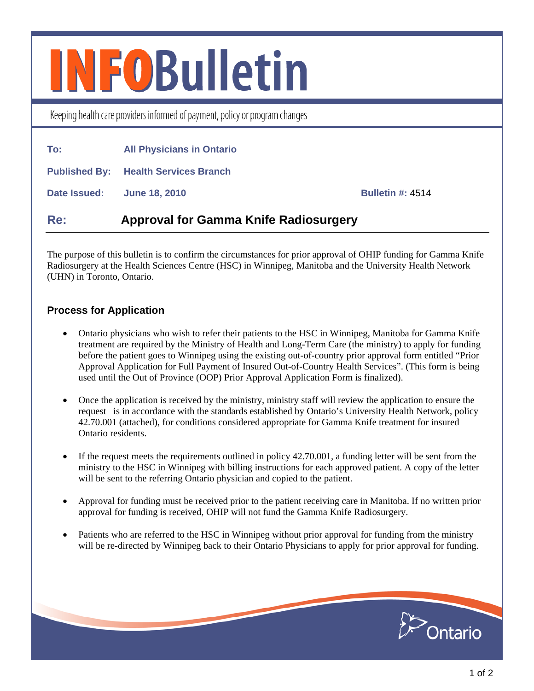## **INFOBulletin**

Keeping health care providers informed of payment, policy or program changes

| Re: | <b>Approval for Gamma Knife Radiosurgery</b> |                         |
|-----|----------------------------------------------|-------------------------|
|     | Date Issued: June 18, 2010                   | <b>Bulletin #: 4514</b> |
|     | <b>Published By: Health Services Branch</b>  |                         |
| To: | <b>All Physicians in Ontario</b>             |                         |

The purpose of this bulletin is to confirm the circumstances for prior approval of OHIP funding for Gamma Knife Radiosurgery at the Health Sciences Centre (HSC) in Winnipeg, Manitoba and the University Health Network (UHN) in Toronto, Ontario.

## **Process for Application**

- Ontario physicians who wish to refer their patients to the HSC in Winnipeg, Manitoba for Gamma Knife treatment are required by the Ministry of Health and Long-Term Care (the ministry) to apply for funding before the patient goes to Winnipeg using the existing out-of-country prior approval form entitled "Prior Approval Application for Full Payment of Insured Out-of-Country Health Services". (This form is being used until the Out of Province (OOP) Prior Approval Application Form is finalized).
- Once the application is received by the ministry, ministry staff will review the application to ensure the request is in accordance with the standards established by Ontario's University Health Network, policy 42.70.001 (attached), for conditions considered appropriate for Gamma Knife treatment for insured Ontario residents.
- If the request meets the requirements outlined in policy 42.70.001, a funding letter will be sent from the ministry to the HSC in Winnipeg with billing instructions for each approved patient. A copy of the letter will be sent to the referring Ontario physician and copied to the patient.
- Approval for funding must be received prior to the patient receiving care in Manitoba. If no written prior approval for funding is received, OHIP will not fund the Gamma Knife Radiosurgery.
- Patients who are referred to the HSC in Winnipeg without prior approval for funding from the ministry will be re-directed by Winnipeg back to their Ontario Physicians to apply for prior approval for funding.